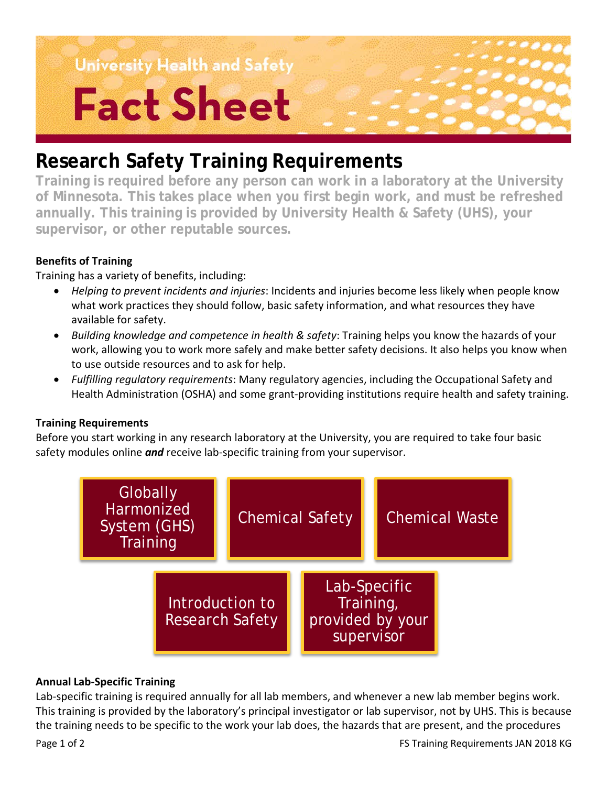**University Health and Safety** 

# **Fact Sheet**

### **Research Safety Training Requirements**

**Training is required before any person can work in a laboratory at the University of Minnesota. This takes place when you first begin work, and must be refreshed annually. This training is provided by University Health & Safety (UHS), your supervisor, or other reputable sources.**

### **Benefits of Training**

Training has a variety of benefits, including:

- *Helping to prevent incidents and injuries*: Incidents and injuries become less likely when people know what work practices they should follow, basic safety information, and what resources they have available for safety.
- *Building knowledge and competence in health & safety*: Training helps you know the hazards of your work, allowing you to work more safely and make better safety decisions. It also helps you know when to use outside resources and to ask for help.
- *Fulfilling regulatory requirements*: Many regulatory agencies, including the Occupational Safety and Health Administration (OSHA) and some grant-providing institutions require health and safety training.

### **Training Requirements**

Before you start working in any research laboratory at the University, you are required to take four basic safety modules online *and* receive lab-specific training from your supervisor.



### **Annual Lab-Specific Training**

Lab-specific training is required annually for all lab members, and whenever a new lab member begins work. This training is provided by the laboratory's principal investigator or lab supervisor, not by UHS. This is because the training needs to be specific to the work your lab does, the hazards that are present, and the procedures